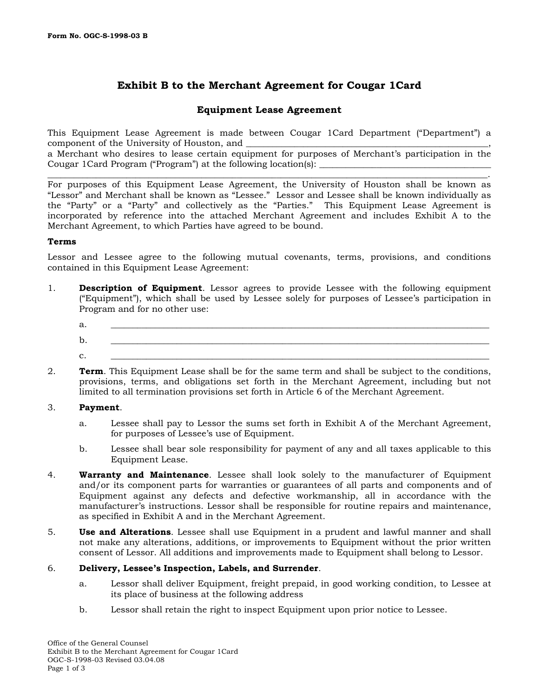# **Exhibit B to the Merchant Agreement for Cougar 1Card**

# **Equipment Lease Agreement**

This Equipment Lease Agreement is made between Cougar 1Card Department ("Department") a component of the University of Houston, and

a Merchant who desires to lease certain equipment for purposes of Merchant's participation in the Cougar 1 Card Program ("Program") at the following location(s): \_\_\_\_\_\_\_\_\_\_\_\_\_\_\_\_\_\_\_\_\_\_\_\_\_\_\_\_\_\_\_\_\_\_\_\_\_\_\_\_\_\_\_\_\_\_\_\_\_\_\_\_\_\_\_\_\_\_\_\_\_\_\_\_\_\_\_\_\_\_\_\_\_\_\_\_\_\_\_\_\_\_\_\_\_\_\_\_\_\_\_\_\_\_\_\_\_\_\_\_.

For purposes of this Equipment Lease Agreement, the University of Houston shall be known as "Lessor" and Merchant shall be known as "Lessee." Lessor and Lessee shall be known individually as the "Party" or a "Party" and collectively as the "Parties." This Equipment Lease Agreement is incorporated by reference into the attached Merchant Agreement and includes Exhibit A to the Merchant Agreement, to which Parties have agreed to be bound.

### **Terms**

Lessor and Lessee agree to the following mutual covenants, terms, provisions, and conditions contained in this Equipment Lease Agreement:

- 1. **Description of Equipment**. Lessor agrees to provide Lessee with the following equipment ("Equipment"), which shall be used by Lessee solely for purposes of Lessee's participation in Program and for no other use:
	- a. \_\_\_\_\_\_\_\_\_\_\_\_\_\_\_\_\_\_\_\_\_\_\_\_\_\_\_\_\_\_\_\_\_\_\_\_\_\_\_\_\_\_\_\_\_\_\_\_\_\_\_\_\_\_\_\_\_\_\_\_\_\_\_\_\_\_\_\_\_\_\_\_\_\_\_\_\_\_\_\_\_\_\_\_\_\_ b. \_\_\_\_\_\_\_\_\_\_\_\_\_\_\_\_\_\_\_\_\_\_\_\_\_\_\_\_\_\_\_\_\_\_\_\_\_\_\_\_\_\_\_\_\_\_\_\_\_\_\_\_\_\_\_\_\_\_\_\_\_\_\_\_\_\_\_\_\_\_\_\_\_\_\_\_\_\_\_\_\_\_\_\_\_\_
	- c.  $\Box$
- 2. **Term**. This Equipment Lease shall be for the same term and shall be subject to the conditions, provisions, terms, and obligations set forth in the Merchant Agreement, including but not limited to all termination provisions set forth in Article 6 of the Merchant Agreement.

#### 3. **Payment**.

- a. Lessee shall pay to Lessor the sums set forth in Exhibit A of the Merchant Agreement, for purposes of Lessee's use of Equipment.
- b. Lessee shall bear sole responsibility for payment of any and all taxes applicable to this Equipment Lease.
- 4. **Warranty and Maintenance**. Lessee shall look solely to the manufacturer of Equipment and/or its component parts for warranties or guarantees of all parts and components and of Equipment against any defects and defective workmanship, all in accordance with the manufacturer's instructions. Lessor shall be responsible for routine repairs and maintenance, as specified in Exhibit A and in the Merchant Agreement.
- 5. **Use and Alterations**. Lessee shall use Equipment in a prudent and lawful manner and shall not make any alterations, additions, or improvements to Equipment without the prior written consent of Lessor. All additions and improvements made to Equipment shall belong to Lessor.

#### 6. **Delivery, Lessee's Inspection, Labels, and Surrender**.

- a. Lessor shall deliver Equipment, freight prepaid, in good working condition, to Lessee at its place of business at the following address
- b. Lessor shall retain the right to inspect Equipment upon prior notice to Lessee.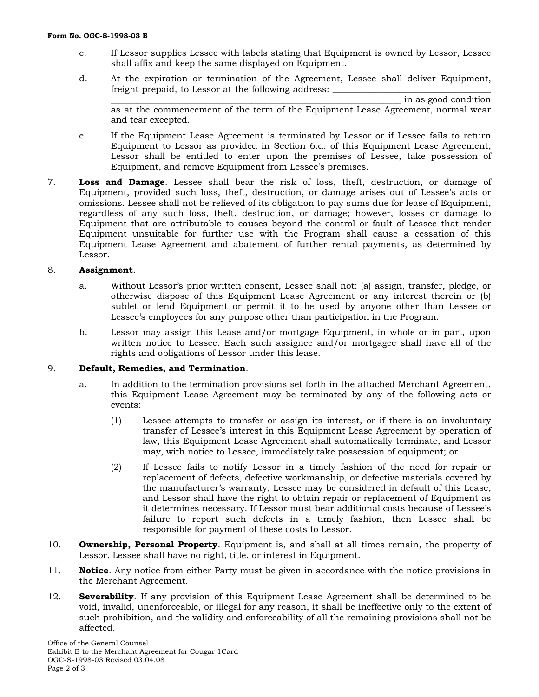- c. If Lessor supplies Lessee with labels stating that Equipment is owned by Lessor, Lessee shall affix and keep the same displayed on Equipment.
- d. At the expiration or termination of the Agreement, Lessee shall deliver Equipment, freight prepaid, to Lessor at the following address:

\_\_\_\_\_\_\_\_\_\_\_\_\_\_\_\_\_\_\_\_\_\_\_\_\_\_\_\_\_\_\_\_\_\_\_\_\_\_\_\_\_\_\_\_\_\_\_\_\_\_\_\_\_\_\_\_\_\_\_\_\_\_\_\_\_\_ in as good condition

as at the commencement of the term of the Equipment Lease Agreement, normal wear and tear excepted.

- e. If the Equipment Lease Agreement is terminated by Lessor or if Lessee fails to return Equipment to Lessor as provided in Section 6.d. of this Equipment Lease Agreement, Lessor shall be entitled to enter upon the premises of Lessee, take possession of Equipment, and remove Equipment from Lessee's premises.
- 7. **Loss and Damage**. Lessee shall bear the risk of loss, theft, destruction, or damage of Equipment, provided such loss, theft, destruction, or damage arises out of Lessee's acts or omissions. Lessee shall not be relieved of its obligation to pay sums due for lease of Equipment, regardless of any such loss, theft, destruction, or damage; however, losses or damage to Equipment that are attributable to causes beyond the control or fault of Lessee that render Equipment unsuitable for further use with the Program shall cause a cessation of this Equipment Lease Agreement and abatement of further rental payments, as determined by Lessor.

### 8. **Assignment**.

- a. Without Lessor's prior written consent, Lessee shall not: (a) assign, transfer, pledge, or otherwise dispose of this Equipment Lease Agreement or any interest therein or (b) sublet or lend Equipment or permit it to be used by anyone other than Lessee or Lessee's employees for any purpose other than participation in the Program.
- b. Lessor may assign this Lease and/or mortgage Equipment, in whole or in part, upon written notice to Lessee. Each such assignee and/or mortgagee shall have all of the rights and obligations of Lessor under this lease.

## 9. **Default, Remedies, and Termination**.

- a. In addition to the termination provisions set forth in the attached Merchant Agreement, this Equipment Lease Agreement may be terminated by any of the following acts or events:
	- (1) Lessee attempts to transfer or assign its interest, or if there is an involuntary transfer of Lessee's interest in this Equipment Lease Agreement by operation of law, this Equipment Lease Agreement shall automatically terminate, and Lessor may, with notice to Lessee, immediately take possession of equipment; or
	- (2) If Lessee fails to notify Lessor in a timely fashion of the need for repair or replacement of defects, defective workmanship, or defective materials covered by the manufacturer's warranty, Lessee may be considered in default of this Lease, and Lessor shall have the right to obtain repair or replacement of Equipment as it determines necessary. If Lessor must bear additional costs because of Lessee's failure to report such defects in a timely fashion, then Lessee shall be responsible for payment of these costs to Lessor.
- 10. **Ownership, Personal Property**. Equipment is, and shall at all times remain, the property of Lessor. Lessee shall have no right, title, or interest in Equipment.
- 11. **Notice**. Any notice from either Party must be given in accordance with the notice provisions in the Merchant Agreement.
- 12. **Severability**. If any provision of this Equipment Lease Agreement shall be determined to be void, invalid, unenforceable, or illegal for any reason, it shall be ineffective only to the extent of such prohibition, and the validity and enforceability of all the remaining provisions shall not be affected.